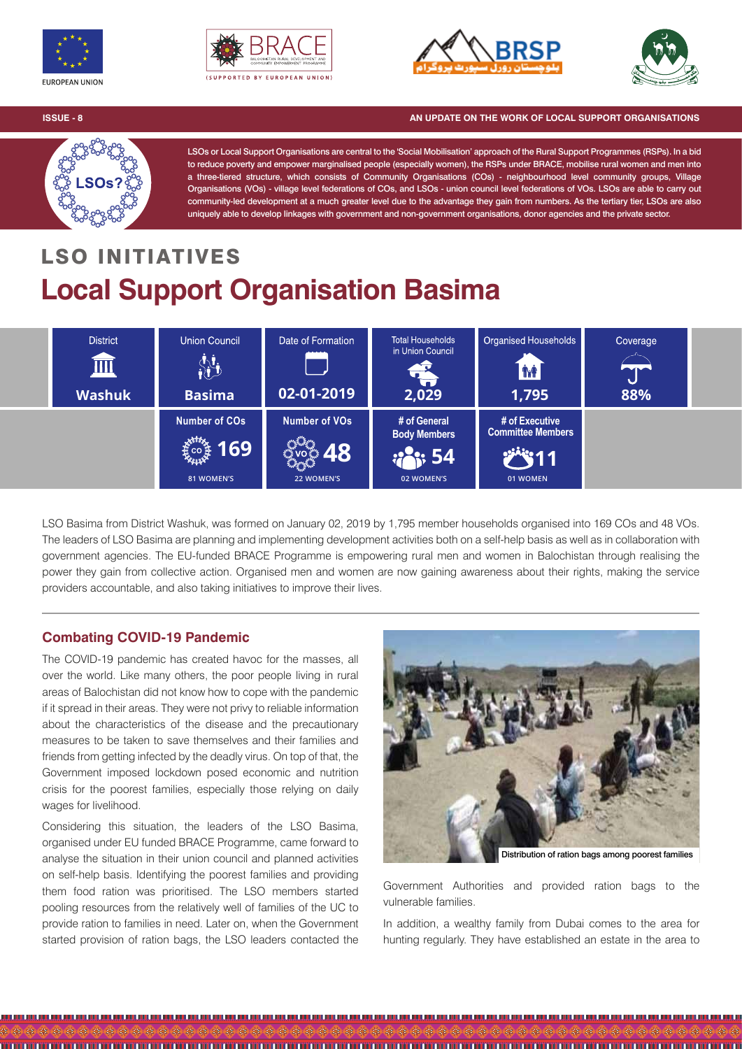







**ISSUE - 8 AN UPDATE ON THE WORK OF LOCAL SUPPORT ORGANISATIONS**



LSOs or Local Support Organisations are central to the 'Social Mobilisation' approach of the Rural Support Programmes (RSPs). In a bid to reduce poverty and empower marginalised people (especially women), the RSPs under BRACE, mobilise rural women and men into a three-tiered structure, which consists of Community Organisations (COs) - neighbourhood level community groups, Village Organisations (VOs) - village level federations of COs, and LSOs - union council level federations of VOs. LSOs are able to carry out community-led development at a much greater level due to the advantage they gain from numbers. As the tertiary tier, LSOs are also uniquely able to develop linkages with government and non-government organisations, donor agencies and the private sector.

# LSO INITIATIVES **Local Support Organisation Basima**



LSO Basima from District Washuk, was formed on January 02, 2019 by 1,795 member households organised into 169 COs and 48 VOs. The leaders of LSO Basima are planning and implementing development activities both on a self-help basis as well as in collaboration with government agencies. The EU-funded BRACE Programme is empowering rural men and women in Balochistan through realising the power they gain from collective action. Organised men and women are now gaining awareness about their rights, making the service providers accountable, and also taking initiatives to improve their lives.

## **Combating COVID-19 Pandemic**

The COVID-19 pandemic has created havoc for the masses, all over the world. Like many others, the poor people living in rural areas of Balochistan did not know how to cope with the pandemic if it spread in their areas. They were not privy to reliable information about the characteristics of the disease and the precautionary measures to be taken to save themselves and their families and friends from getting infected by the deadly virus. On top of that, the Government imposed lockdown posed economic and nutrition crisis for the poorest families, especially those relying on daily wages for livelihood.

Considering this situation, the leaders of the LSO Basima, organised under EU funded BRACE Programme, came forward to analyse the situation in their union council and planned activities on self-help basis. Identifying the poorest families and providing them food ration was prioritised. The LSO members started pooling resources from the relatively well of families of the UC to provide ration to families in need. Later on, when the Government started provision of ration bags, the LSO leaders contacted the



Distribution of ration bags among poorest families

Government Authorities and provided ration bags to the vulnerable families.

In addition, a wealthy family from Dubai comes to the area for hunting regularly. They have established an estate in the area to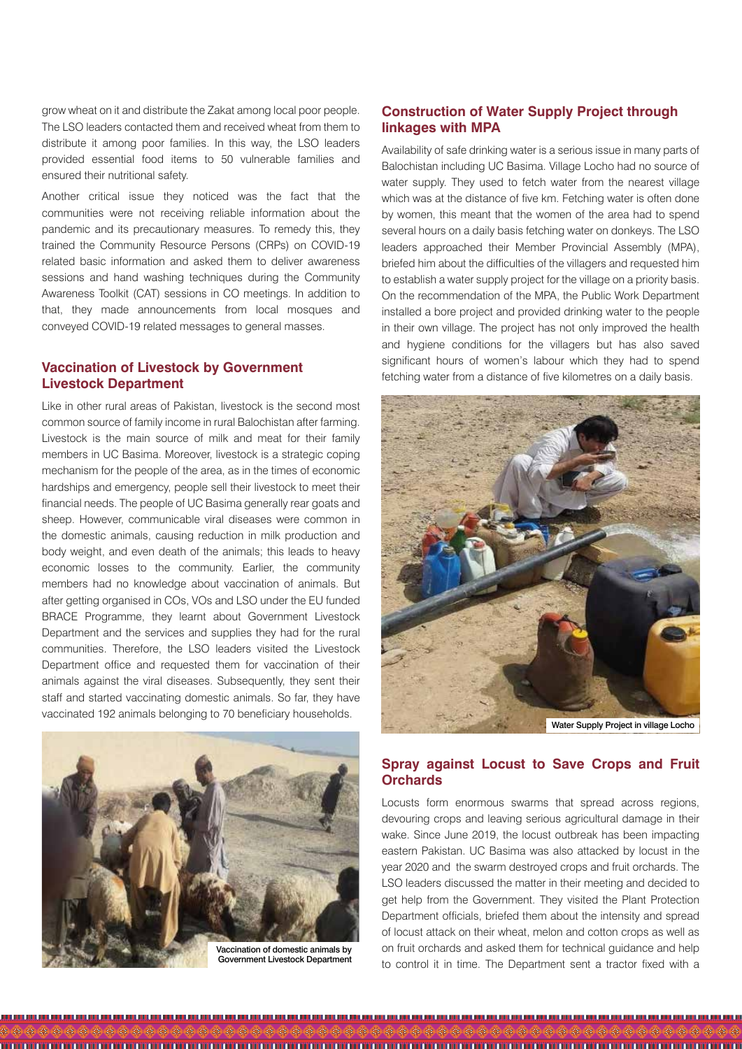grow wheat on it and distribute the Zakat among local poor people. The LSO leaders contacted them and received wheat from them to distribute it among poor families. In this way, the LSO leaders provided essential food items to 50 vulnerable families and ensured their nutritional safety.

Another critical issue they noticed was the fact that the communities were not receiving reliable information about the pandemic and its precautionary measures. To remedy this, they trained the Community Resource Persons (CRPs) on COVID-19 related basic information and asked them to deliver awareness sessions and hand washing techniques during the Community Awareness Toolkit (CAT) sessions in CO meetings. In addition to that, they made announcements from local mosques and conveyed COVID-19 related messages to general masses.

### **Vaccination of Livestock by Government Livestock Department**

Like in other rural areas of Pakistan, livestock is the second most common source of family income in rural Balochistan after farming. Livestock is the main source of milk and meat for their family members in UC Basima. Moreover, livestock is a strategic coping mechanism for the people of the area, as in the times of economic hardships and emergency, people sell their livestock to meet their financial needs. The people of UC Basima generally rear goats and sheep. However, communicable viral diseases were common in the domestic animals, causing reduction in milk production and body weight, and even death of the animals; this leads to heavy economic losses to the community. Earlier, the community members had no knowledge about vaccination of animals. But after getting organised in COs, VOs and LSO under the EU funded BRACE Programme, they learnt about Government Livestock Department and the services and supplies they had for the rural communities. Therefore, the LSO leaders visited the Livestock Department office and requested them for vaccination of their animals against the viral diseases. Subsequently, they sent their staff and started vaccinating domestic animals. So far, they have vaccinated 192 animals belonging to 70 beneficiary households.



Government Livestock Department

#### **Construction of Water Supply Project through linkages with MPA**

Availability of safe drinking water is a serious issue in many parts of Balochistan including UC Basima. Village Locho had no source of water supply. They used to fetch water from the nearest village which was at the distance of five km. Fetching water is often done by women, this meant that the women of the area had to spend several hours on a daily basis fetching water on donkeys. The LSO leaders approached their Member Provincial Assembly (MPA), briefed him about the difficulties of the villagers and requested him to establish a water supply project for the village on a priority basis. On the recommendation of the MPA, the Public Work Department installed a bore project and provided drinking water to the people in their own village. The project has not only improved the health and hygiene conditions for the villagers but has also saved significant hours of women's labour which they had to spend fetching water from a distance of five kilometres on a daily basis.



Water Supply Project in village Locho

#### **Spray against Locust to Save Crops and Fruit Orchards**

Locusts form enormous swarms that spread across regions, devouring crops and leaving serious agricultural damage in their wake. Since June 2019, the locust outbreak has been impacting eastern Pakistan. UC Basima was also attacked by locust in the year 2020 and the swarm destroyed crops and fruit orchards. The LSO leaders discussed the matter in their meeting and decided to get help from the Government. They visited the Plant Protection Department officials, briefed them about the intensity and spread of locust attack on their wheat, melon and cotton crops as well as on fruit orchards and asked them for technical guidance and help to control it in time. The Department sent a tractor fixed with a